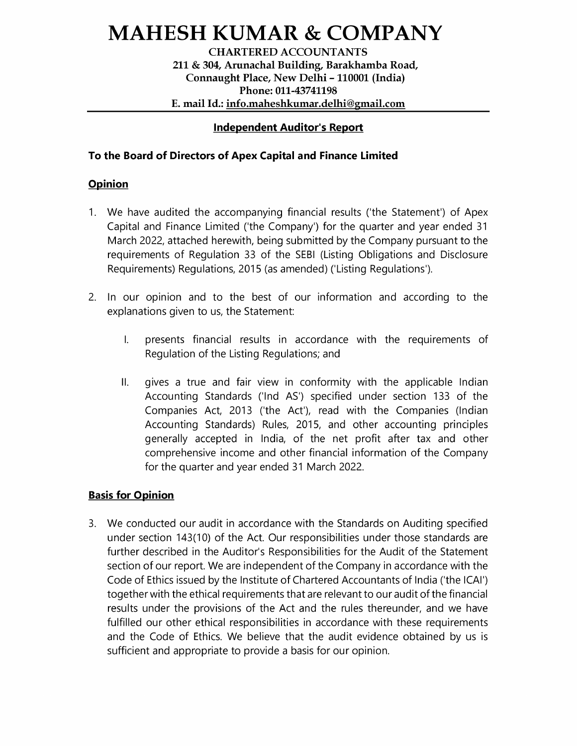# MAHESH KUMAR & COMPANY

CHARTERED ACCOUNTANTS 211 & 304, Arunachal Building, Barakhamba Road, Connaught Place, New Delhi - 110001 (India) Phone: 011-43741198 MAHESH KUMAI<br>CHARTERED A<br>211 & 304, Arunachal Bu<br>Connaught Place, Ne<br>Phone: 011<br>E. mail Id.: <u>info.mahesh</u> ESH KUMAR & COMPA<br>
CHARTERED ACCOUNTANTS<br>
211 & 304, Arunachal Building, Barakhamba Roa<br>
Connaught Place, New Delhi - 110001 (India)<br>
Phone: 011-43741198<br>
E. mail Id.: <u>info.maheshkumar.delhi@gmail.com</u> E. mail Id.: info.maheshkumar.delhi@gmail.com

## Independent Auditor's Report

## To the Board of Directors of Apex Capital and Finance Limited

#### **Opinion**

- 1. We have audited the accompanying financial results ('the Statement') of Apex Capital and Finance Limited ('the Company') for the quarter and year ended 31 March 2022, attached herewith, being submitted by the Company pursuant to the requirements of Regulation 33 of the SEBI (Listing Obligations and Disclosure Requirements) Regulations, 2015 (as amended) ('Listing Regulations').
- 2. In our opinion and to the best of our information and according to the explanations given to us, the Statement:
	- |. presents financial results in accordance with the requirements of Regulation of the Listing Regulations; and
	- ll. gives a true and fair view in conformity with the applicable Indian Accounting Standards ('Ind AS') specified under section 133 of the Companies Act, 2013 ('the Act'), read with the Companies (Indian Accounting Standards) Rules, 2015, and other accounting principles generally accepted in India, of the net profit after tax and other comprehensive income and other financial information of the Company for the quarter and year ended 31 March 2022.

## **Basis for Opinion**

We conducted our audit in accordance with the Standards on Auditing specified under section 143(10) of the Act. Our responsibilities under those standards are further described in the Auditor's Responsibilities for the Audit of the Statement section of our report. We are independent of the Company in accordance with the Code of Ethics issued by the Institute of Chartered Accountants of India ('the ICAI') together with the ethical requirements that are relevant to our audit of the financial results under the provisions of the Act and the rules thereunder, and we have fulfilled our other ethical responsibilities in accordance with these requirements and the Code of Ethics. We believe that the audit evidence obtained by us is sufficient and appropriate to provide a basis for our opinion.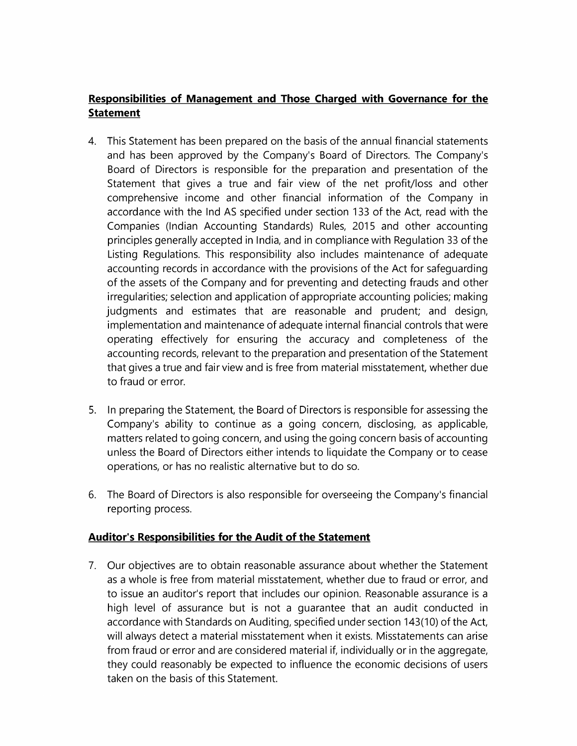# Responsibilities of Management and Those Charged with Governance for the Statement

- 4. This Statement has been prepared on the basis of the annual financial statements and has been approved by the Company's Board of Directors. The Company's Board of Directors is responsible for the preparation and presentation of the Statement that gives a true and fair view of the net profit/loss and other comprehensive income and other financial information of the Company in accordance with the Ind AS specified under section 133 of the Act, read with the Companies (Indian Accounting Standards) Rules, 2015 and other accounting principles generally accepted in India, and in compliance with Regulation 33 of the Listing Regulations. This responsibility also includes maintenance of adequate accounting records in accordance with the provisions of the Act for safeguarding of the assets of the Company and for preventing and detecting frauds and other irregularities; selection and application of appropriate accounting policies; making judgments and estimates that are reasonable and prudent; and design, implementation and maintenance of adequate internal financial controls that were Operating effectively for ensuring the accuracy and completeness of the accounting records, relevant to the preparation and presentation of the Statement that gives a true and fair view and is free from material misstatement, whether due to fraud or error.
- 5. In preparing the Statement, the Board of Directors is responsible for assessing the Company's ability to continue as a going concern, disclosing, as applicable, matters related to going concern, and using the going concern basis of accounting unless the Board of Directors either intends to liquidate the Company or to cease operations, or has no realistic alternative but to do so.
- 6. The Board of Directors is also responsible for overseeing the Company's financial reporting process.

# Auditor's Responsibilities for the Audit of the Statement

7. Our objectives are to obtain reasonable assurance about whether the Statement as a whole is free from material misstatement, whether due to fraud or error, and to issue an auditor's report that includes our opinion. Reasonable assurance is a high level of assurance but is not a guarantee that an audit conducted in accordance with Standards on Auditing, specified under section 143(10) of the Act, will always detect a material misstatement when it exists. Misstatements can arise from fraud or error and are considered material if, individually or in the aggregate, they could reasonably be expected to influence the economic decisions of users taken on the basis of this Statement.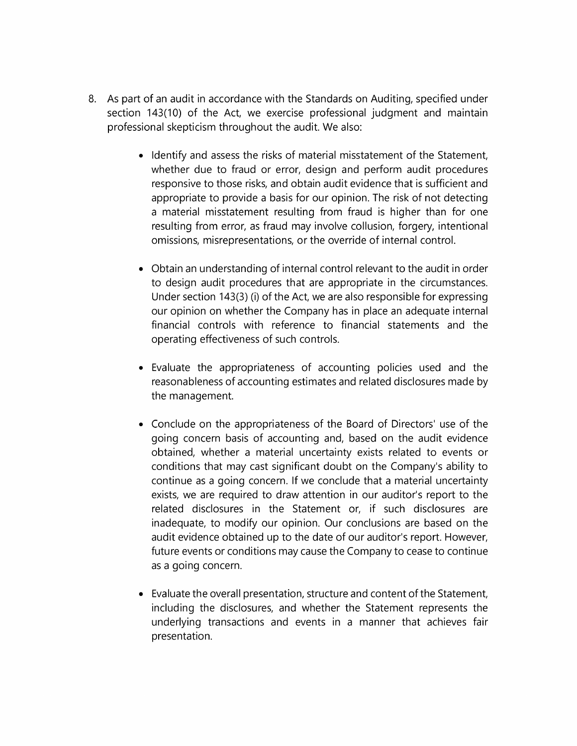- 8. As part of an audit in accordance with the Standards on Auditing, specified under section 143(10) of the Act, we exercise professional judgment and maintain professional skepticism throughout the audit. We also:
	- e Identify and assess the risks of material misstatement of the Statement, whether due to fraud or error, design and perform audit procedures responsive to those risks, and obtain audit evidence that is sufficient and appropriate to provide a basis for our opinion. The risk of not detecting a material misstatement resulting from fraud is higher than for one resulting from error, as fraud may involve collusion, forgery, intentional omissions, misrepresentations, or the override of internal control.
	- e Obtain an understanding of internal control relevant to the audit in order to design audit procedures that are appropriate in the circumstances. Under section 143(3) (i) of the Act, we are also responsible for expressing our opinion on whether the Company has in place an adequate internal financial controls with reference to financial statements and the operating effectiveness of such controls.
	- Evaluate the appropriateness of accounting policies used and the reasonableness of accounting estimates and related disclosures made by the management.
	- e Conclude on the appropriateness of the Board of Directors' use of the going concern basis of accounting and, based on the audit evidence obtained, whether a material uncertainty exists related to events or conditions that may cast significant doubt on the Company's ability to continue as a going concern. If we conclude that a material uncertainty exists, we are required to draw attention in our auditor's report to the related disclosures in the Statement or, if such disclosures are inadequate, to modify our opinion. Our conclusions are based on the audit evidence obtained up to the date of our auditor's report. However, future events or conditions may cause the Company to cease to continue as a going concern.
	- Evaluate the overall presentation, structure and content of the Statement, including the disclosures, and whether the Statement represents the underlying transactions and events in a manner that achieves fair presentation.